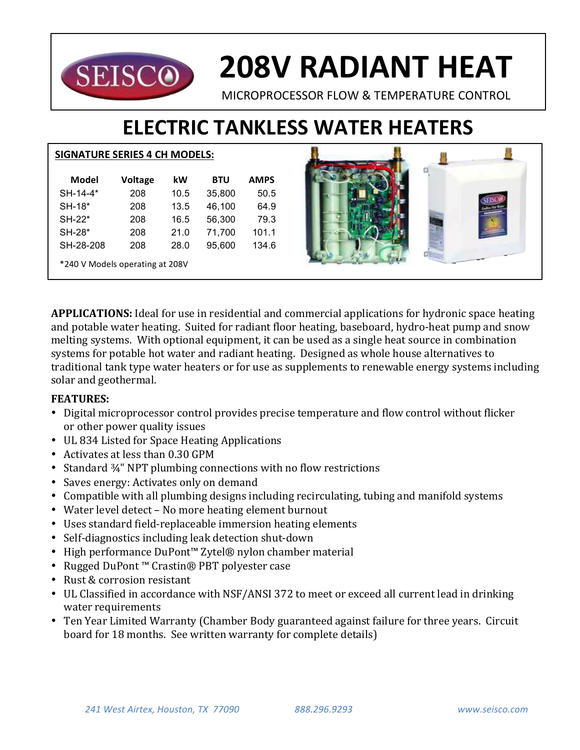

# **208V RADIANT HEAT**

MICROPROCESSOR FLOW & TEMPERATURE CONTROL

# **ELECTRIC TANKLESS WATER HEATERS**

#### **SIGNATURE SERIES 4 CH MODELS:**

| Model                           | Voltage | kW   | BTU    | <b>AMPS</b> |  |  |  |  |
|---------------------------------|---------|------|--------|-------------|--|--|--|--|
| SH-14-4*                        | 208     | 10.5 | 35,800 | 50.5        |  |  |  |  |
| SH-18*                          | 208     | 13.5 | 46,100 | 64.9        |  |  |  |  |
| SH-22*                          | 208     | 16.5 | 56,300 | 79.3        |  |  |  |  |
| SH-28*                          | 208     | 21.0 | 71,700 | 101.1       |  |  |  |  |
| SH-28-208                       | 208     | 28.0 | 95,600 | 134.6       |  |  |  |  |
| *240 V Models operating at 208V |         |      |        |             |  |  |  |  |



**APPLICATIONS:** Ideal for use in residential and commercial applications for hydronic space heating and potable water heating. Suited for radiant floor heating, baseboard, hydro-heat pump and snow melting systems. With optional equipment, it can be used as a single heat source in combination systems for potable hot water and radiant heating. Designed as whole house alternatives to traditional tank type water heaters or for use as supplements to renewable energy systems including solar and geothermal.

### **FEATURES:**

- Digital microprocessor control provides precise temperature and flow control without flicker or other power quality issues
- UL 834 Listed for Space Heating Applications
- Activates at less than 0.30 GPM
- Standard  $\frac{3}{4}$ " NPT plumbing connections with no flow restrictions
- Saves energy: Activates only on demand
- Compatible with all plumbing designs including recirculating, tubing and manifold systems
- Water level detect No more heating element burnout
- Uses standard field-replaceable immersion heating elements
- Self-diagnostics including leak detection shut-down
- High performance DuPont™ Zytel® nylon chamber material
- Rugged DuPont™ Crastin® PBT polyester case
- Rust & corrosion resistant
- UL Classified in accordance with NSF/ANSI 372 to meet or exceed all current lead in drinking water requirements
- Ten Year Limited Warranty (Chamber Body guaranteed against failure for three years. Circuit board for 18 months. See written warranty for complete details)